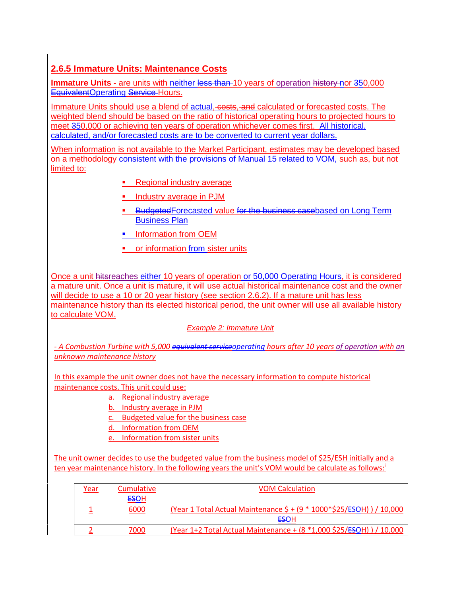# **2.6.5 Immature Units: Maintenance Costs**

**Immature Units -** are units with neither less than 10 years of operation history nor 350,000 EquivalentOperating Service-Hours.

Immature Units should use a blend of actual, costs, and calculated or forecasted costs. The weighted blend should be based on the ratio of historical operating hours to projected hours to meet 350,000 or achieving ten years of operation whichever comes first. All historical, calculated, and/or forecasted costs are to be converted to current year dollars.

When information is not available to the Market Participant, estimates may be developed based on a methodology consistent with the provisions of Manual 15 related to VOM, such as, but not limited to:

- Regional industry average
- **Industry average in PJM**
- **BudgetedForecasted value for the business casebased on Long Term** Business Plan
- **Information from OEM**
- **•** or information from sister units

Once a unit hitsreaches either 10 years of operation or 50,000 Operating Hours, it is considered a mature unit. Once a unit is mature, it will use actual historical maintenance cost and the owner will decide to use a 10 or 20 year history (see section 2.6.2). If a mature unit has less maintenance history than its elected historical period, the unit owner will use all available history to calculate VOM.

#### *Example 2: Immature Unit*

*- A Combustion Turbine with 5,000 equivalent serviceoperating hours after 10 years of operation with an unknown maintenance history*

In this example the unit owner does not have the necessary information to compute historical maintenance costs. This unit could use:

- a. Regional industry average
- b. Industry average in PJM
- c. Budgeted value for the business case
- d. Information from OEM
- e. Information from sister units

The unit owner decides to use the budgeted value from the business model of \$25/ESH initially and a ten year maintenance history. In the following years the unit's VOM would be calculate as follows:

| <u>Year</u> | <b>Cumulative</b> | <b>VOM Calculation</b>                                                               |
|-------------|-------------------|--------------------------------------------------------------------------------------|
|             | <b>ESOH</b>       |                                                                                      |
|             | 6000              | (Year 1 Total Actual Maintenance \$ + (9 * 1000 * \$25/ <del>ES</del> OH) ) / 10,000 |
|             |                   | ESOH                                                                                 |
|             | 7000              | (Year 1+2 Total Actual Maintenance + (8 *1,000 \$25/ <del>ES</del> OH) ) / 10,000    |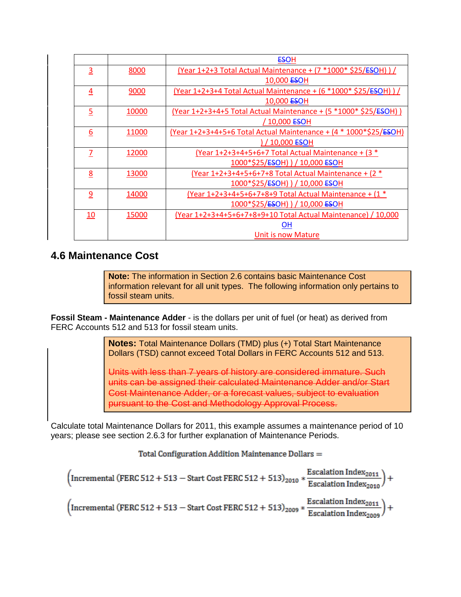|                |       | <b>ESOH</b>                                                          |
|----------------|-------|----------------------------------------------------------------------|
| $\overline{3}$ | 8000  | (Year 1+2+3 Total Actual Maintenance + $(7 *1000 * $25/550H)$ )      |
|                |       | 10,000 <del>ES</del> OH                                              |
| 4              | 9000  | (Year 1+2+3+4 Total Actual Maintenance + $(6 *1000 * $25/ESOH)$ )    |
|                |       | 10,000 <del>ES</del> OH                                              |
| 5              | 10000 | (Year 1+2+3+4+5 Total Actual Maintenance + (5 *1000* \$25/ESOH))     |
|                |       | / 10,000 <del>ES</del> OH                                            |
| 6              | 11000 | (Year 1+2+3+4+5+6 Total Actual Maintenance + $(4 * 1000 * $25/ESOH)$ |
|                |       | ) / 10,000 <del>ES</del> OH                                          |
| 7              | 12000 | (Year $1+2+3+4+5+6+7$ Total Actual Maintenance + (3 $*$              |
|                |       | 1000*\$25/ <del>ES</del> OH) ) / 10,000 ESOH                         |
| 8              | 13000 | (Year $1+2+3+4+5+6+7+8$ Total Actual Maintenance + (2 $*$            |
|                |       | 1000*\$25/ <del>ES</del> OH) ) / 10,000 ESOH                         |
| 9              | 14000 | (Year 1+2+3+4+5+6+7+8+9 Total Actual Maintenance + (1 *              |
|                |       | 1000*\$25/ <del>ES</del> OH) ) / 10,000 <del>ES</del> OH             |
| 10             | 15000 | (Year 1+2+3+4+5+6+7+8+9+10 Total Actual Maintenance) / 10,000        |
|                |       | OН                                                                   |
|                |       | Unit is now Mature                                                   |

# **4.6 Maintenance Cost**

**Note:** The information in Section 2.6 contains basic Maintenance Cost information relevant for all unit types. The following information only pertains to fossil steam units.

**Fossil Steam - Maintenance Adder** - is the dollars per unit of fuel (or heat) as derived from FERC Accounts 512 and 513 for fossil steam units.

> **Notes:** Total Maintenance Dollars (TMD) plus (+) Total Start Maintenance Dollars (TSD) cannot exceed Total Dollars in FERC Accounts 512 and 513.

Units with less than 7 years of history are considered immature. Such units can be assigned their calculated Maintenance Adder and/or Start Cost Maintenance Adder, or a forecast values, subject to evaluation pursuant to the Cost and Methodology Approval Process.

Calculate total Maintenance Dollars for 2011, this example assumes a maintenance period of 10 years; please see section 2.6.3 for further explanation of Maintenance Periods.

Total Configuration Addition Maintenance Dollars =

 $\left(\text{Incremental (FERC 512 + 513 - Start Cost FERC 512 + 513)}_{2010} * \frac{\text{Escalation Index}_{2011}}{\text{Escalation Index}_{2010}}\right) +$  $\left(\text{Incremental (FERC 512 + 513 - Start Cost FERC 512 + 513)}_{2009} * \frac{\text{Escalation Index}_{2011}}{\text{Escalation Index}_{2009}}\right) +$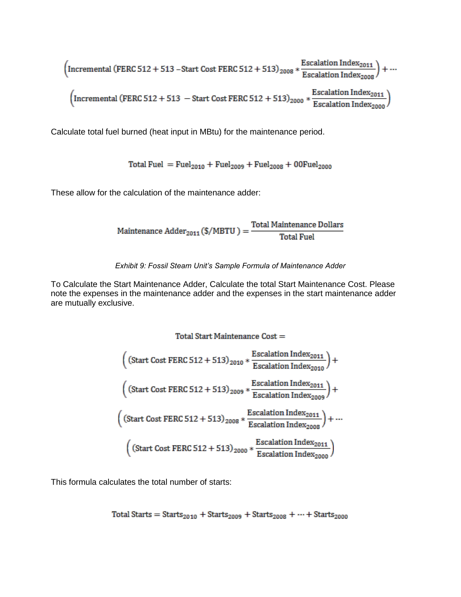$$
\left(\text{Incremental (FERC 512 + 513 - Start Cost FERC 512 + 513)}_{2008} * \frac{\text{Escalation Index}_{2011}}{\text{Escalation Index}_{2008}}\right) + \cdots
$$
\n
$$
\left(\text{Incremental (FERC 512 + 513 - Start Cost FERC 512 + 513)}_{2000} * \frac{\text{Escalation Index}_{2011}}{\text{Escalation Index}_{2000}}\right)
$$

Calculate total fuel burned (heat input in MBtu) for the maintenance period.

Total Fuel =  $Fuel<sub>2010</sub> + Fuel<sub>2009</sub> + Fuel<sub>2008</sub> + O0Fuel<sub>2000</sub>$ 

These allow for the calculation of the maintenance adder:

 $\text{Maintenance Adder}_{2011}\text{\textbf{(S/MBTU)}} = \frac{\text{Total Maintenance Dollars}}{\text{Total Fuel}}$ 

*Exhibit 9: Fossil Steam Unit's Sample Formula of Maintenance Adder* 

To Calculate the Start Maintenance Adder, Calculate the total Start Maintenance Cost. Please note the expenses in the maintenance adder and the expenses in the start maintenance adder are mutually exclusive.

$$
\left(\left(\text{Start Cost FERC 512 + 513}\right)_{2010} * \frac{\text{Escalation Index}_{2011}}{\text{Escalation Index}_{2010}}\right) + \left(\left(\text{Start Cost FERC 512 + 513}\right)_{2009} * \frac{\text{Escalation Index}_{2011}}{\text{Escalation Index}_{2009}}\right) + \left(\left(\text{Start Cost FERC 512 + 513}\right)_{2008} * \frac{\text{Escalation Index}_{2011}}{\text{Escalation Index}_{2008}}\right) + \dots + \left(\left(\text{Start Cost FERC 512 + 513}\right)_{2000} * \frac{\text{Escalation Index}_{2011}}{\text{Escalation Index}_{2000}}\right)
$$

This formula calculates the total number of starts:

Total Stars = 
$$
Starts_{2010} + Starts_{2009} + Starts_{2008} + \cdots + Starts_{2000}
$$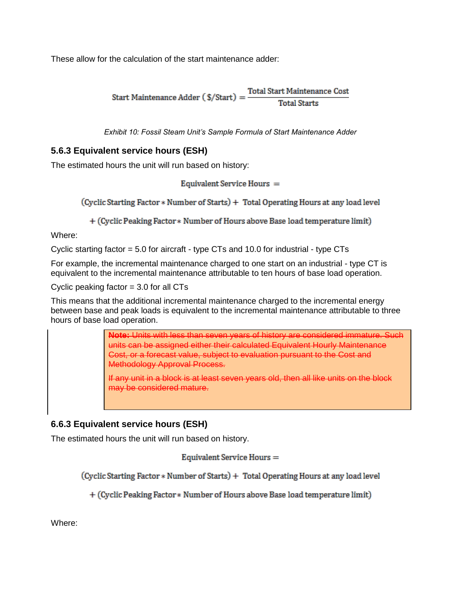These allow for the calculation of the start maintenance adder:

**Total Start Maintenance Cost** Start Maintenance Adder ( $\frac{2}{3}$ /Start) = **Total Starts** 

*Exhibit 10: Fossil Steam Unit's Sample Formula of Start Maintenance Adder* 

### **5.6.3 Equivalent service hours (ESH)**

The estimated hours the unit will run based on history:

Equivalent Service Hours =

(Cyclic Starting Factor \* Number of Starts) + Total Operating Hours at any load level

+ (Cyclic Peaking Factor \* Number of Hours above Base load temperature limit)

Where:

Cyclic starting factor  $= 5.0$  for aircraft - type CTs and 10.0 for industrial - type CTs

For example, the incremental maintenance charged to one start on an industrial - type CT is equivalent to the incremental maintenance attributable to ten hours of base load operation.

Cyclic peaking factor  $= 3.0$  for all CTs

This means that the additional incremental maintenance charged to the incremental energy between base and peak loads is equivalent to the incremental maintenance attributable to three hours of base load operation.

> **Note:** Units with less than seven years of history are considered immature. Such units can be assigned either their calculated Equivalent Hourly Maintenance Cost, or a forecast value, subject to evaluation pursuant to the Cost and Methodology Approval Process.

If any unit in a block is at least seven years old, then all like units on the block may be considered mature.

## **6.6.3 Equivalent service hours (ESH)**

The estimated hours the unit will run based on history.

Equivalent Service Hours =

(Cyclic Starting Factor \* Number of Starts) + Total Operating Hours at any load level

+ (Cyclic Peaking Factor \* Number of Hours above Base load temperature limit)

Where: